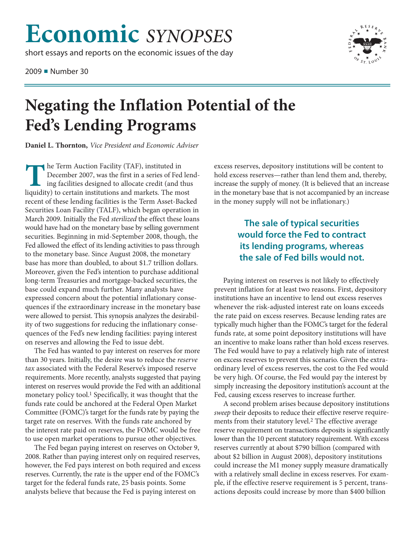## **Economic** *SYNOPSES*

short essays and reports on the economic issues of the day

2009 ■ Number 30



## **Negating the Inflation Potential of the Fed's Lending Programs**

**Daniel L. Thornton,** *Vice President and Economic Adviser*

**The Term Auction Facility (TAF), instituted in December 2007, was the first in a series of Feding facilities designed to allocate credit (and institutions and markets. The m** December 2007, was the first in a series of Fed lending facilities designed to allocate credit (and thus liquidity) to certain institutions and markets. The most recent of these lending facilities is the Term Asset-Backed Securities Loan Facility (TALF), which began operation in March 2009. Initially the Fed *sterilized* the effect these loans would have had on the monetary base by selling government securities. Beginning in mid-September 2008, though, the Fed allowed the effect of its lending activities to pass through to the monetary base. Since August 2008, the monetary base has more than doubled, to about \$1.7 trillion dollars. Moreover, given the Fed's intention to purchase additional long-term Treasuries and mortgage-backed securities, the base could expand much further. Many analysts have expressed concern about the potential inflationary consequences if the extraordinary increase in the monetary base were allowed to persist. This synopsis analyzes the desirability of two suggestions for reducing the inflationary consequences of the Fed's new lending facilities: paying interest on reserves and allowing the Fed to issue debt.

The Fed has wanted to pay interest on reserves for more than 30 years. Initially, the desire was to reduce the *reserve tax* associated with the Federal Reserve's imposed reserve requirements. More recently, analysts suggested that paying interest on reserves would provide the Fed with an additional monetary policy tool. 1 Specifically, it was thought that the funds rate could be anchored at the Federal Open Market Committee (FOMC)'s target for the funds rate by paying the target rate on reserves. With the funds rate anchored by the interest rate paid on reserves, the FOMC would be free to use open market operations to pursue other objectives.

The Fed began paying interest on reserves on October 9, 2008. Rather than paying interest only on required reserves, however, the Fed pays interest on both required and excess reserves. Currently, the rate is the upper end of the FOMC's target for the federal funds rate, 25 basis points. Some analysts believe that because the Fed is paying interest on

excess reserves, depository institutions will be content to hold excess reserves—rather than lend them and, thereby, increase the supply of money. (It is believed that an increase in the monetary base that is not accompanied by an increase in the money supply will not be inflationary.)

## **The sale of typical securities would force the Fed to contract its lending programs, whereas the sale of Fed bills would not.**

Paying interest on reserves is not likely to effectively prevent inflation for at least two reasons. First, depository institutions have an incentive to lend out excess reserves whenever the risk-adjusted interest rate on loans exceeds the rate paid on excess reserves. Because lending rates are typically much higher than the FOMC's target for the federal funds rate, at some point depository institutions will have an incentive to make loans rather than hold excess reserves. The Fed would have to pay a relatively high rate of interest on excess reserves to prevent this scenario. Given the extraordinary level of excess reserves, the cost to the Fed would be very high. Of course, the Fed would pay the interest by simply increasing the depository institution's account at the Fed, causing excess reserves to increase further.

A second problem arises because depository institutions *sweep* their deposits to reduce their effective reserve requirements from their statutory level. 2 The effective average reserve requirement on transactions deposits is significantly lower than the 10 percent statutory requirement. With excess reserves currently at about \$790 billion (compared with about \$2 billion in August 2008), depository institutions could increase the M1 money supply measure dramatically with a relatively small decline in excess reserves. For example, if the effective reserve requirement is 5 percent, transactions deposits could increase by more than \$400 billion